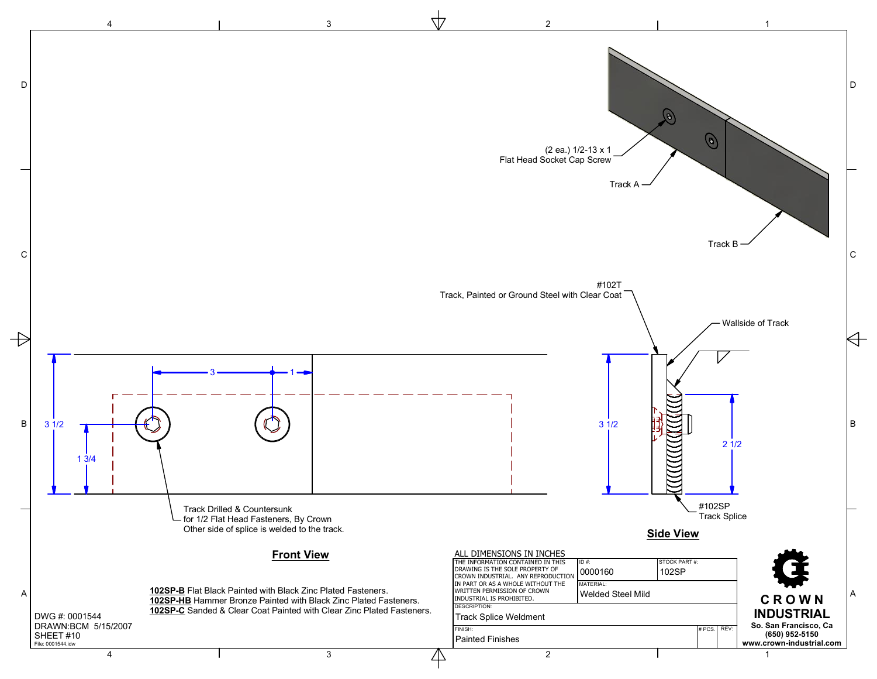